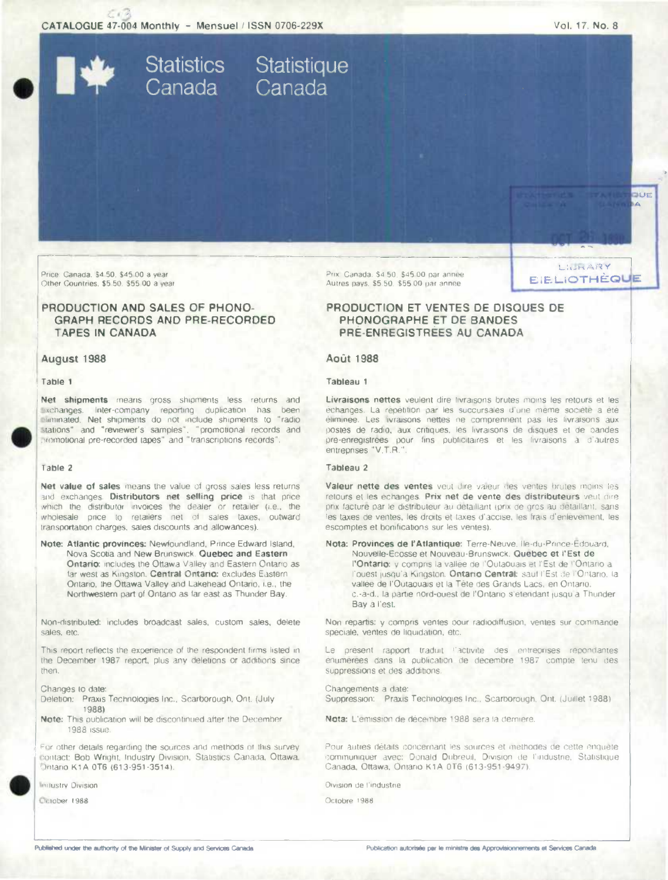CATALOGUE 47-004 Monthly - Mensuel / ISSN 0706-229X

Statistics Statistique<br>Canada Canada

Vol. 17, No. 8

LILRARY

**EIELIOTHÈQUE** 

**BLIE** i.A

Price: Canada, \$4.50, \$45.00 a vear Other Countries, \$5 50. \$55 00 a year

# PRODUCTION AND SALES OF PHONO-GRAPH RECORDS AND PRE-RECORDED **TAPES IN CANADA**

### August 1988

#### Table 1

Net shipments means gross shipments less returns and exchanges. Inter-company reporting duplication has been eliminated. Net shipments do not include shipments to "radio stations" and "reviewer's samples", "promotional records and cromotional pre-recorded tapes" and "transcriptions records"

#### Table 2

Net value of sales means the value of gross sales less returns and exchanges. Distributors net selling price is that price which the distributor invoices the dealer or retailer (i.e., the wholesale price to retailers net of sales taxes, outward transportation charges, sales discounts and allowances).

Note: Atlantic provinces: Newfoundland, Prince Edward Island, Nova Scotia and New Brunswick. Quebec and Eastern Ontario: includes the Ottawa Valley and Eastern Ontario as far west as Kingston. Central Ontario: excludes Eastern Ontario, the Ottawa Valley and Lakehead Ontario, i.e., the Northwestern part of Ontano as far east as Thunder Bay.

Non-distributed: includes broadcast sales, custom sales, delete sales, etc.

This report reflects the experience of the respondent firms listed in the December 1987 report, plus any deletions or additions since then.

Changes to date:

- Deletion: Praxis Technologies Inc., Scarborough, Ont. (July 1988)
- Note: This publication will be discontinued after the December 1988 issue.

For other details regarding the sources and methods of this survey. contact: Bob Wright, Industry Division, Statistics Canada, Ottawa, Dritario K1A 0T6 (613-951-3514).

Industry Division

Ccrober 1988

Prix, Canada, \$4.50, \$45.00 par annee Autres pays. \$5.50. \$55.00 par annee.

# PRODUCTION ET VENTES DE DISQUES DE PHONOGRAPHE ET DE BANDES PRE-ENREGISTREES AU CANADA

## **Août 1988**

#### Tableau 1

Livraisons nettes veulent dire Irvraisons brutes moins les retours et les échanges. La répétition par les succursales d'une meme société a été éliminée. Les livraisons nettes ne comprennent pas les livraisons aux postes de radio, aux critiques, les livraisons de disques et de bandes pre-enregistrees pour fins publicitaires et les livraisons à d'autres entreprises "V.T.R.".

### Tableau 2

Valeur nette des ventes veut dire valeur des ventes brutes moins les retours et les échanges. Prix net de vente des distributeurs veut dire prix facture par le distributeur au detaillant (prix de gros au detaillant, sans les taxes de ventes, les droits et taxes d'accise, les frais d'enlevement, les escomptes et bonifications sur les ventes).

Nota: Provinces de l'Atlantique: Terre-Neuve, lie-du-Prince-Edouard, Nouvelle-Écosse et Nouveau-Brunswick. Quebec et l'Est de l'Ontario: y compris la vallée de l'Outaquais et l'Est de l'Ontario a l'ouest jusqu'a Kingston. Ontario Central: sauf l'Est de l'Ontario, la valtée de l'Outaouais et la Tête des Grands Lacs, en Ontario. c.-à-d., la partie nord-ouest de l'Ontario s'étendant jusqu'à Thunder Bay à l'est.

Non répartis: y compris ventes oour radiodiffusion, ventes sur commande spéciale, ventes de liquidation, etc.

Le présent rapport traduit l'activité des entreprises repondantes énumerées dans la publication de décembre 1987 compte tenu des suppressions et des additions.

Changements a date: Suppression: Praxis Technologies Inc., Scarborough, Ont. (Juillet 1988).

Nota: L'emission de décembre 1988 sera la dernière.

Pour autres détaits concernant les sources et methodes de cette enquête communiquer avec: Donald Dubreuil, Division de l'industrie, Statistique Canada, Ottawa, Oniario K1A 0T6 (613-951-9497).

Olvision de l'industrie

Octobre 1988